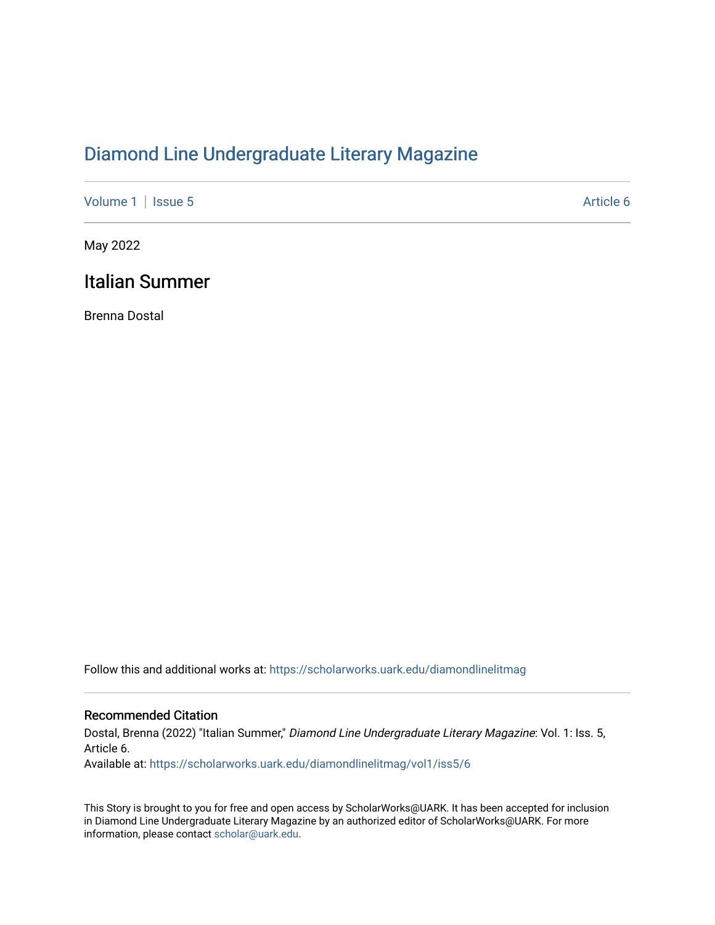## [Diamond Line Undergraduate Literary Magazine](https://scholarworks.uark.edu/diamondlinelitmag)

[Volume 1](https://scholarworks.uark.edu/diamondlinelitmag/vol1) | [Issue 5](https://scholarworks.uark.edu/diamondlinelitmag/vol1/iss5) Article 6

May 2022

## Italian Summer

Brenna Dostal

Follow this and additional works at: [https://scholarworks.uark.edu/diamondlinelitmag](https://scholarworks.uark.edu/diamondlinelitmag?utm_source=scholarworks.uark.edu%2Fdiamondlinelitmag%2Fvol1%2Fiss5%2F6&utm_medium=PDF&utm_campaign=PDFCoverPages) 

## Recommended Citation

Dostal, Brenna (2022) "Italian Summer," Diamond Line Undergraduate Literary Magazine: Vol. 1: Iss. 5, Article 6. Available at: [https://scholarworks.uark.edu/diamondlinelitmag/vol1/iss5/6](https://scholarworks.uark.edu/diamondlinelitmag/vol1/iss5/6?utm_source=scholarworks.uark.edu%2Fdiamondlinelitmag%2Fvol1%2Fiss5%2F6&utm_medium=PDF&utm_campaign=PDFCoverPages)

This Story is brought to you for free and open access by ScholarWorks@UARK. It has been accepted for inclusion in Diamond Line Undergraduate Literary Magazine by an authorized editor of ScholarWorks@UARK. For more information, please contact [scholar@uark.edu.](mailto:scholar@uark.edu)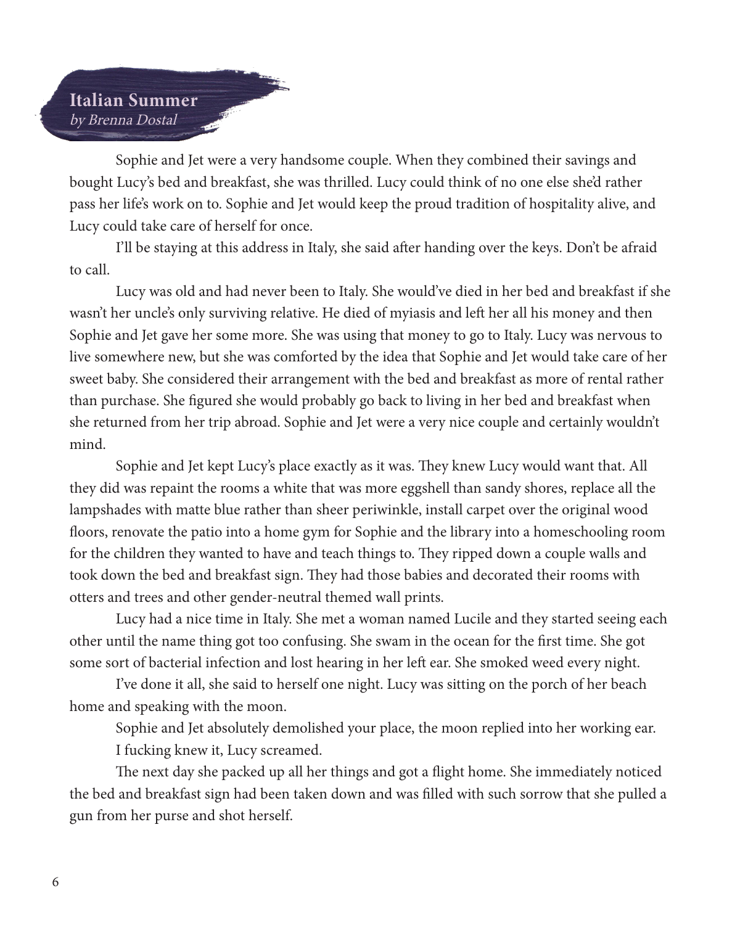## Italian Summer by Brenna Dostal

Sophie and Jet were a very handsome couple. When they combined their savings and bought Lucy's bed and breakfast, she was thrilled. Lucy could think of no one else she'd rather pass her life's work on to. Sophie and Jet would keep the proud tradition of hospitality alive, and Lucy could take care of herself for once.

I'll be staying at this address in Italy, she said after handing over the keys. Don't be afraid to call.

Lucy was old and had never been to Italy. She would've died in her bed and breakfast if she wasn't her uncle's only surviving relative. He died of myiasis and left her all his money and then Sophie and Jet gave her some more. She was using that money to go to Italy. Lucy was nervous to live somewhere new, but she was comforted by the idea that Sophie and Jet would take care of her sweet baby. She considered their arrangement with the bed and breakfast as more of rental rather than purchase. She figured she would probably go back to living in her bed and breakfast when she returned from her trip abroad. Sophie and Jet were a very nice couple and certainly wouldn't mind.

Sophie and Jet kept Lucy's place exactly as it was. They knew Lucy would want that. All they did was repaint the rooms a white that was more eggshell than sandy shores, replace all the lampshades with matte blue rather than sheer periwinkle, install carpet over the original wood floors, renovate the patio into a home gym for Sophie and the library into a homeschooling room for the children they wanted to have and teach things to. They ripped down a couple walls and took down the bed and breakfast sign. They had those babies and decorated their rooms with otters and trees and other gender-neutral themed wall prints.

Lucy had a nice time in Italy. She met a woman named Lucile and they started seeing each other until the name thing got too confusing. She swam in the ocean for the first time. She got some sort of bacterial infection and lost hearing in her left ear. She smoked weed every night.

I've done it all, she said to herself one night. Lucy was sitting on the porch of her beach home and speaking with the moon.

Sophie and Jet absolutely demolished your place, the moon replied into her working ear.

I fucking knew it, Lucy screamed.

The next day she packed up all her things and got a flight home. She immediately noticed the bed and breakfast sign had been taken down and was filled with such sorrow that she pulled a gun from her purse and shot herself.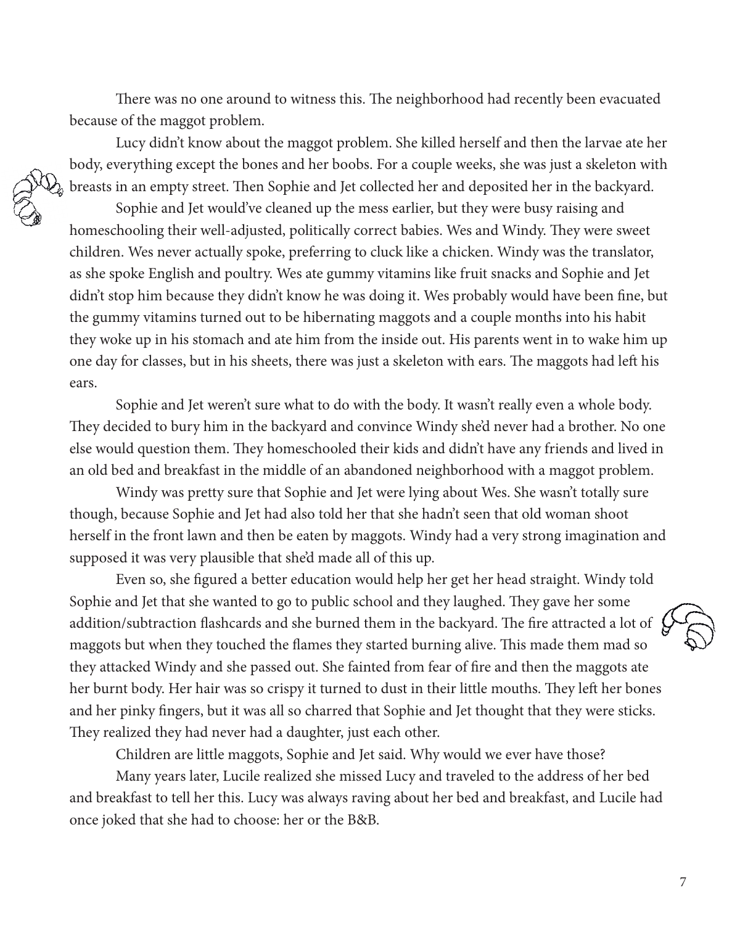There was no one around to witness this. The neighborhood had recently been evacuated because of the maggot problem.

Lucy didn't know about the maggot problem. She killed herself and then the larvae ate her body, everything except the bones and her boobs. For a couple weeks, she was just a skeleton with breasts in an empty street. Then Sophie and Jet collected her and deposited her in the backyard.

Sophie and Jet would've cleaned up the mess earlier, but they were busy raising and homeschooling their well-adjusted, politically correct babies. Wes and Windy. They were sweet children. Wes never actually spoke, preferring to cluck like a chicken. Windy was the translator, as she spoke English and poultry. Wes ate gummy vitamins like fruit snacks and Sophie and Jet didn't stop him because they didn't know he was doing it. Wes probably would have been fine, but the gummy vitamins turned out to be hibernating maggots and a couple months into his habit they woke up in his stomach and ate him from the inside out. His parents went in to wake him up one day for classes, but in his sheets, there was just a skeleton with ears. The maggots had left his ears.

Sophie and Jet weren't sure what to do with the body. It wasn't really even a whole body. They decided to bury him in the backyard and convince Windy she'd never had a brother. No one else would question them. They homeschooled their kids and didn't have any friends and lived in an old bed and breakfast in the middle of an abandoned neighborhood with a maggot problem.

Windy was pretty sure that Sophie and Jet were lying about Wes. She wasn't totally sure though, because Sophie and Jet had also told her that she hadn't seen that old woman shoot herself in the front lawn and then be eaten by maggots. Windy had a very strong imagination and supposed it was very plausible that she'd made all of this up.

Even so, she figured a better education would help her get her head straight. Windy told Sophie and Jet that she wanted to go to public school and they laughed. They gave her some addition/subtraction flashcards and she burned them in the backyard. The fire attracted a lot of maggots but when they touched the flames they started burning alive. This made them mad so they attacked Windy and she passed out. She fainted from fear of fire and then the maggots ate her burnt body. Her hair was so crispy it turned to dust in their little mouths. They left her bones and her pinky fingers, but it was all so charred that Sophie and Jet thought that they were sticks. They realized they had never had a daughter, just each other.

Children are little maggots, Sophie and Jet said. Why would we ever have those?

Many years later, Lucile realized she missed Lucy and traveled to the address of her bed and breakfast to tell her this. Lucy was always raving about her bed and breakfast, and Lucile had once joked that she had to choose: her or the B&B.